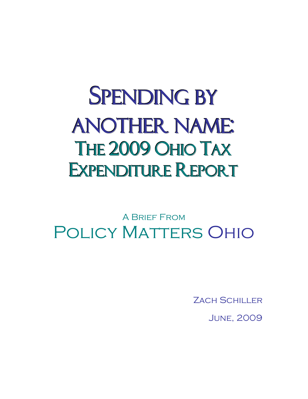## **SPENDING BY** ANOTHER NAME: THE 2009 OHIO TAX EXPENDITURE REPORT

A Brief From Policy Matters Ohio

**ZACH SCHILLER** 

June, 2009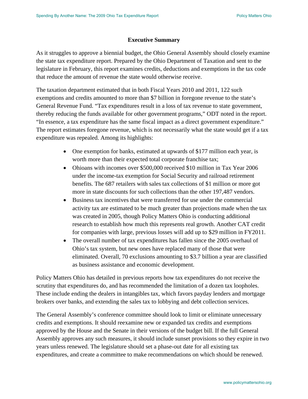## **Executive Summary**

As it struggles to approve a biennial budget, the Ohio General Assembly should closely examine the state tax expenditure report. Prepared by the Ohio Department of Taxation and sent to the legislature in February, this report examines credits, deductions and exemptions in the tax code that reduce the amount of revenue the state would otherwise receive.

The taxation department estimated that in both Fiscal Years 2010 and 2011, 122 such exemptions and credits amounted to more than \$7 billion in foregone revenue to the state's General Revenue Fund. "Tax expenditures result in a loss of tax revenue to state government, thereby reducing the funds available for other government programs," ODT noted in the report. "In essence, a tax expenditure has the same fiscal impact as a direct government expenditure." The report estimates foregone revenue, which is not necessarily what the state would get if a tax expenditure was repealed. Among its highlights:

- One exemption for banks, estimated at upwards of \$177 million each year, is worth more than their expected total corporate franchise tax;
- Ohioans with incomes over \$500,000 received \$10 million in Tax Year 2006 under the income-tax exemption for Social Security and railroad retirement benefits. The 687 retailers with sales tax collections of \$1 million or more got more in state discounts for such collections than the other 197,487 vendors.
- Business tax incentives that were transferred for use under the commercial activity tax are estimated to be much greater than projections made when the tax was created in 2005, though Policy Matters Ohio is conducting additional research to establish how much this represents real growth. Another CAT credit for companies with large, previous losses will add up to \$29 million in FY2011.
- The overall number of tax expenditures has fallen since the 2005 overhaul of Ohio's tax system, but new ones have replaced many of those that were eliminated. Overall, 70 exclusions amounting to \$3.7 billion a year are classified as business assistance and economic development.

Policy Matters Ohio has detailed in previous reports how tax expenditures do not receive the scrutiny that expenditures do, and has recommended the limitation of a dozen tax loopholes. These include ending the dealers in intangibles tax, which favors payday lenders and mortgage brokers over banks, and extending the sales tax to lobbying and debt collection services.

The General Assembly's conference committee should look to limit or eliminate unnecessary credits and exemptions. It should reexamine new or expanded tax credits and exemptions approved by the House and the Senate in their versions of the budget bill. If the full General Assembly approves any such measures, it should include sunset provisions so they expire in two years unless renewed. The legislature should set a phase-out date for all existing tax expenditures, and create a committee to make recommendations on which should be renewed.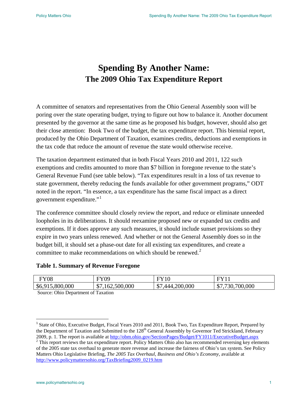## **Spending By Another Name: The 2009 Ohio Tax Expenditure Report**

A committee of senators and representatives from the Ohio General Assembly soon will be poring over the state operating budget, trying to figure out how to balance it. Another document presented by the governor at the same time as he proposed his budget, however, should also get their close attention: Book Two of the budget, the tax expenditure report. This biennial report, produced by the Ohio Department of Taxation, examines credits, deductions and exemptions in the tax code that reduce the amount of revenue the state would otherwise receive.

The taxation department estimated that in both Fiscal Years 2010 and 2011, 122 such exemptions and credits amounted to more than \$7 billion in foregone revenue to the state's General Revenue Fund (see table below). "Tax expenditures result in a loss of tax revenue to state government, thereby reducing the funds available for other government programs," ODT noted in the report. "In essence, a tax expenditure has the same fiscal impact as a direct government expenditure." $1$ 

The conference committee should closely review the report, and reduce or eliminate unneeded loopholes in its deliberations. It should reexamine proposed new or expanded tax credits and exemptions. If it does approve any such measures, it should include sunset provisions so they expire in two years unless renewed. And whether or not the General Assembly does so in the budget bill, it should set a phase-out date for all existing tax expenditures, and create a committee to make recommendations on which should be renewed. $2$ 

## **Table 1. Summary of Revenue Foregone**

| $_{\rm FY08}$   | FY09                               |                         | EVI1                         |
|-----------------|------------------------------------|-------------------------|------------------------------|
| \$6,915,800,000 | /,162,500,000<br>$\bigwedge$<br>۰D | 444,200,000<br>ـ∩<br>Δ. | 700,000<br>730<br>ሰጣ<br>ن 10 |

Source: Ohio Department of Taxation

<span id="page-2-0"></span> <sup>1</sup> State of Ohio, Executive Budget, Fiscal Years 2010 and 2011, Book Two, Tax Expenditure Report, Prepared by the Department of Taxation and Submitted to the 128<sup>th</sup> General Assembly by Governor Ted Strickland, February 2009, p. 1. The report is available at http://obm.ohio.gov/SectionPages/Budget/FY1011/ExecutiveBudget.aspx 2009, p. 1. The report is available at <u><http://obm.ohio.gov/SectionPages/Budget/FY1011/ExecutiveBudget.aspx></u><br><sup>2</sup> This report reviews the tax expenditure report. Policy Matters Ohio also has recommended reversing key elemen

<span id="page-2-1"></span>of the 2005 state tax overhaul to generate more revenue and increase the fairness of Ohio's tax system. See Policy Matters Ohio Legislative Briefing, *The 2005 Tax Overhaul, Business and Ohio's Economy,* available at [http://www.policymattersohio.org/TaxBriefing2009\\_0219.htm](http://www.policymattersohio.org/TaxBriefing2009_0219.htm)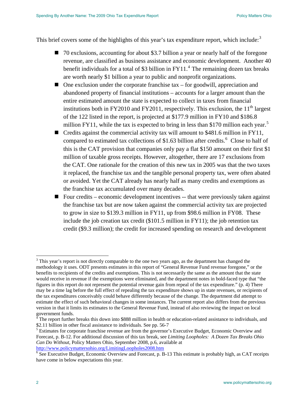This brief covers some of the highlights of this year's tax expenditure report, which include:<sup>[3](#page-3-0)</sup>

- 70 exclusions, accounting for about \$3.7 billion a year or nearly half of the foregone revenue, are classified as business assistance and economic development. Another 40 benefit individuals for a total of \$3 billion in  $FY11<sup>4</sup>$  $FY11<sup>4</sup>$  $FY11<sup>4</sup>$ . The remaining dozen tax breaks are worth nearly \$1 billion a year to public and nonprofit organizations.
- $\blacksquare$  One exclusion under the corporate franchise tax for goodwill, appreciation and abandoned property of financial institutions – accounts for a larger amount than the entire estimated amount the state is expected to collect in taxes from financial institutions both in FY2010 and FY2011, respectively. This exclusion, the  $11<sup>th</sup>$  largest of the 122 listed in the report, is projected at \$177.9 million in FY10 and \$186.8 million FY11, while the tax is expected to bring in less than \$170 million each year.<sup>[5](#page-3-2)</sup>
- Credits against the commercial activity tax will amount to \$481.6 million in FY11, compared to estimated tax collections of \$1.[6](#page-3-3)3 billion after credits.<sup>6</sup> Close to half of this is the CAT provision that companies only pay a flat \$150 amount on their first \$1 million of taxable gross receipts. However, altogether, there are 17 exclusions from the CAT. One rationale for the creation of this new tax in 2005 was that the two taxes it replaced, the franchise tax and the tangible personal property tax, were often abated or avoided. Yet the CAT already has nearly half as many credits and exemptions as the franchise tax accumulated over many decades.
- Four credits economic development incentives -- that were previously taken against the franchise tax but are now taken against the commercial activity tax are projected to grow in size to \$139.3 million in FY11, up from \$98.6 million in FY08. These include the job creation tax credit (\$101.5 million in FY11); the job retention tax credit (\$9.3 million); the credit for increased spending on research and development

<span id="page-3-0"></span> $3$  This year's report is not directly comparable to the one two years ago, as the department has changed the methodology it uses. ODT presents estimates in this report of "General Revenue Fund revenue foregone," or the benefits to recipients of the credits and exemptions. This is not necessarily the same as the amount that the state would receive in revenue if the exemptions were eliminated, and the department notes in bold-faced type that "the figures in this report do not represent the potential revenue gain from repeal of the tax expenditure." (p. 4) There may be a time lag before the full effect of repealing the tax expenditure shows up in state revenues, or recipients of the tax expenditures conceivably could behave differently because of the change. The department did attempt to estimate the effect of such behavioral changes in some instances. The current report also differs from the previous version in that it limits its estimates to the General Revenue Fund, instead of also reviewing the impact on local government funds.

<span id="page-3-1"></span><sup>4</sup> The report further breaks this down into \$888 million in health or education-related assistance to individuals, and \$2.11 billion in other fiscal assistance to individuals. See pp. 56-7

<span id="page-3-2"></span><sup>&</sup>lt;sup>5</sup> Estimates for corporate franchise revenue are from the governor's Executive Budget, Economic Overview and Forecast, p. B-12. For additional discussion of this tax break, see *Limiting Loopholes: A Dozen Tax Breaks Ohio Can Do Without*, Policy Matters Ohio, September 2008, p.6, available at <http://www.policymattersohio.org/LimitingLoopholes2008.htm> [6](http://www.policymattersohio.org/LimitingLoopholes2008.htm)

<span id="page-3-3"></span><sup>&</sup>lt;sup>6</sup> See Executive Budget, Economic Overview and Forecast, p. B-13 This estimate is probably high, as CAT receipts have come in below expectations this year.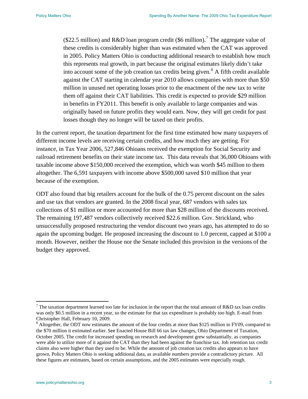(\$22.5 million) and R&D loan program credit (\$6 million).<sup>7</sup> The aggregate value of these credits is considerably higher than was estimated when the CAT was approved in 2005. Policy Matters Ohio is conducting additional research to establish how much this represents real growth, in part because the original estimates likely didn't take into account some of the job creation tax credits being given.<sup>8</sup> A fifth credit available against the CAT starting in calendar year 2010 allows companies with more than \$50 million in unused net operating losses prior to the enactment of the new tax to write them off against their CAT liabilities. This credit is expected to provide \$29 million in benefits in FY2011. This benefit is only available to large companies and was originally based on future profits they would earn. Now, they will get credit for past losses though they no longer will be taxed on their profits.

In the current report, the taxation department for the first time estimated how many taxpayers of different income levels are receiving certain credits, and how much they are getting. For instance, in Tax Year 2006, 527,846 Ohioans received the exemption for Social Security and railroad retirement benefits on their state income tax. This data reveals that 36,000 Ohioans with taxable income above \$150,000 received the exemption, which was worth \$45 million to them altogether. The 6,591 taxpayers with income above \$500,000 saved \$10 million that year because of the exemption.

ODT also found that big retailers account for the bulk of the 0.75 percent discount on the sales and use tax that vendors are granted. In the 2008 fiscal year, 687 vendors with sales tax collections of \$1 million or more accounted for more than \$28 million of the discounts received. The remaining 197,487 vendors collectively received \$22.6 million. Gov. Strickland, who unsuccessfully proposed restructuring the vendor discount two years ago, has attempted to do so again the upcoming budget. He proposed increasing the discount to 1.0 percent, capped at \$100 a month. However, neither the House nor the Senate included this provision in the versions of the budget they approved.

<sup>&</sup>lt;sup>7</sup> The taxation department learned too late for inclusion in the report that the total amount of R&D tax loan credits was only \$0.5 million in a recent year, so the estimate for that tax expenditure is probably too high. E-mail from Christopher Hall, February 10, 2009.

<sup>&</sup>lt;sup>8</sup> Altogether, the ODT now estimates the amount of the four credits at more than \$125 million in FY09, compared to the \$70 million it estimated earlier. See Enacted House Bill 66 tax law changes, Ohio Department of Taxation, October 2005. The credit for increased spending on research and development grew substantially, as companies were able to utilize more of it against the CAT than they had been against the franchise tax. Job retention tax credit claims also were higher than they used to be. While the amount of job creation tax credits also appears to have grown, Policy Matters Ohio is seeking additional data, as available numbers provide a contradictory picture. All these figures are estimates, based on certain assumptions, and the 2005 estimates were especially rough.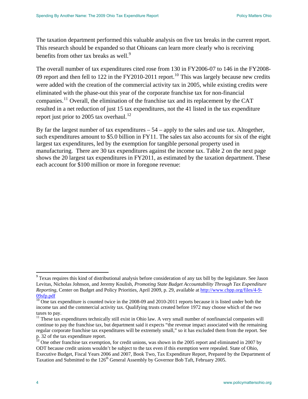The taxation department performed this valuable analysis on five tax breaks in the current report. This research should be expanded so that Ohioans can learn more clearly who is receiving benefits from other tax breaks as well.<sup>[9](#page-5-0)</sup>

The overall number of tax expenditures cited rose from 130 in FY2006-07 to 146 in the FY2008- 09 report and then fell to 122 in the FY20[10](#page-5-1)-2011 report.<sup>10</sup> This was largely because new credits were added with the creation of the commercial activity tax in 2005, while existing credits were eliminated with the phase-out this year of the corporate franchise tax for non-financial companies.[11](#page-5-2) Overall, the elimination of the franchise tax and its replacement by the CAT resulted in a net reduction of just 15 tax expenditures, not the 41 listed in the tax expenditure report just prior to 2005 tax overhaul.<sup>[12](#page-5-3)</sup>

By far the largest number of tax expenditures  $-54$  – apply to the sales and use tax. Altogether, such expenditures amount to \$5.0 billion in FY11. The sales tax also accounts for six of the eight largest tax expenditures, led by the exemption for tangible personal property used in manufacturing. There are 30 tax expenditures against the income tax. Table 2 on the next page shows the 20 largest tax expenditures in FY2011, as estimated by the taxation department. These each account for \$100 million or more in foregone revenue:

<span id="page-5-0"></span><sup>&</sup>lt;sup>9</sup> Texas requires this kind of distributional analysis before consideration of any tax bill by the legislature. See Jason Levitas, Nicholas Johnson, and Jeremy Koulish, *Promoting State Budget Accountability Through Tax Expenditure Reporting*, Center on Budget and Policy Priorities, April 2009, p. 29, available at [http://www.cbpp.org/files/4-9-](http://www.cbpp.org/files/4-9-09sfp.pdf) [09sfp.pdf](http://www.cbpp.org/files/4-9-09sfp.pdf)

<span id="page-5-1"></span> $\frac{10}{10}$  One tax expenditure is counted twice in the 2008-09 and 2010-2011 reports because it is listed under both the income tax and the commercial activity tax. Qualifying trusts created before 1972 may choose which of the two taxes to pay.

<span id="page-5-2"></span><sup>&</sup>lt;sup>11</sup> These tax expenditures technically still exist in Ohio law. A very small number of nonfinancial companies will continue to pay the franchise tax, but department said it expects "the revenue impact associated with the remaining regular corporate franchise tax expenditures will be extremely small," so it has excluded them from the report. See p. 32 of the tax expenditure report.

<span id="page-5-3"></span> $\frac{1}{2}$  One other franchise tax exemption, for credit unions, was shown in the 2005 report and eliminated in 2007 by ODT because credit unions wouldn't be subject to the tax even if this exemption were repealed. State of Ohio, Executive Budget, Fiscal Years 2006 and 2007, Book Two, Tax Expenditure Report, Prepared by the Department of Taxation and Submitted to the 126<sup>th</sup> General Assembly by Governor Bob Taft, February 2005.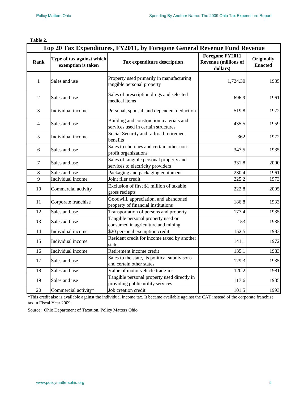|--|--|

| Top 20 Tax Expenditures, FY2011, by Foregone General Revenue Fund Revenue |                                                 |                                                                                  |                                                            |                              |  |  |
|---------------------------------------------------------------------------|-------------------------------------------------|----------------------------------------------------------------------------------|------------------------------------------------------------|------------------------------|--|--|
| Rank                                                                      | Type of tax against which<br>exemption is taken | <b>Tax expenditure description</b>                                               | Foregone FY2011<br><b>Revenue (millions of</b><br>dollars) | Originally<br><b>Enacted</b> |  |  |
| $\mathbf{1}$                                                              | Sales and use                                   | Property used primarily in manufacturing<br>tangible personal property           | 1,724.30                                                   | 1935                         |  |  |
| $\overline{2}$                                                            | Sales and use                                   | Sales of prescription drugs and selected<br>medical items                        | 696.9                                                      | 1961                         |  |  |
| 3                                                                         | Individual income                               | Personal, spousal, and dependent deduction                                       | 519.8                                                      | 1972                         |  |  |
| $\overline{4}$                                                            | Sales and use                                   | Building and construction materials and<br>services used in certain structures   | 435.5                                                      | 1959                         |  |  |
| 5                                                                         | Individual income                               | Social Security and railroad retirement<br>benefits                              | 362                                                        | 1972                         |  |  |
| 6                                                                         | Sales and use                                   | Sales to churches and certain other non-<br>profit organizations                 | 347.5                                                      | 1935                         |  |  |
| $\overline{7}$                                                            | Sales and use                                   | Sales of tangible personal property and<br>services to electricity providers     | 331.8                                                      | 2000                         |  |  |
| 8                                                                         | Sales and use                                   | Packaging and packaging equipment                                                | 230.4                                                      | 1961                         |  |  |
| 9                                                                         | Individual income                               | Joint filer credit                                                               | 225.2                                                      | 1973                         |  |  |
| 10                                                                        | Commercial activity                             | Exclusion of first \$1 million of taxable<br>gross reciepts                      | 222.8                                                      | 2005                         |  |  |
| 11                                                                        | Corporate franchise                             | Goodwill, appreciation, and abandoned<br>property of financial institutions      | 186.8                                                      | 1933                         |  |  |
| 12                                                                        | Sales and use                                   | Transportation of persons and property                                           | 177.4                                                      | 1935                         |  |  |
| 13                                                                        | Sales and use                                   | Tangible personal property used or<br>consumed in agriculture and mining         | 153                                                        | 1935                         |  |  |
| 14                                                                        | Individual income                               | \$20 personal exemption credit                                                   | 152.5                                                      | 1983                         |  |  |
| 15                                                                        | Individual income                               | Resident credit for income taxed by another<br>state                             | 141.1                                                      | 1972                         |  |  |
| 16                                                                        | Individual income                               | Retirement income credit                                                         | 135.1                                                      | 1983                         |  |  |
| 17                                                                        | Sales and use                                   | Sales to the state, its political subdivisons<br>and certain other states        | 129.3                                                      | 1935                         |  |  |
| 18                                                                        | Sales and use                                   | Value of motor vehicle trade-ins                                                 | 120.2                                                      | 1981                         |  |  |
| 19                                                                        | Sales and use                                   | Tangible personal property used directly in<br>providing public utility services | 117.6                                                      | 1935                         |  |  |
| 20                                                                        | Commercial activity*                            | Job creation credit                                                              | 101.5                                                      | 1993                         |  |  |

\*This credit also is available against the individual income tax. It became available against the CAT instead of the corporate franchise tax in Fiscal Year 2009.

Source: Ohio Department of Taxation, Policy Matters Ohio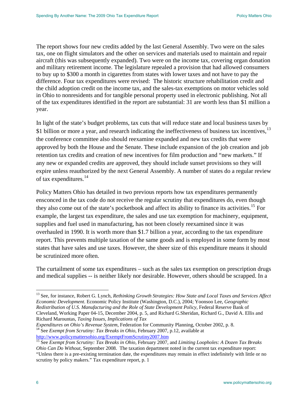The report shows four new credits added by the last General Assembly. Two were on the sales tax, one on flight simulators and the other on services and materials used to maintain and repair aircraft (this was subsequently expanded). Two were on the income tax, covering organ donation and military retirement income. The legislature repealed a provision that had allowed consumers to buy up to \$300 a month in cigarettes from states with lower taxes and not have to pay the difference. Four tax expenditures were revised: The historic structure rehabilitation credit and the child adoption credit on the income tax, and the sales-tax exemptions on motor vehicles sold in Ohio to nonresidents and for tangible personal property used in electronic publishing. Not all of the tax expenditures identified in the report are substantial: 31 are worth less than \$1 million a year.

In light of the state's budget problems, tax cuts that will reduce state and local business taxes by \$1 billion or more a year, and research indicating the ineffectiveness of business tax incentives,  $^{13}$  $^{13}$  $^{13}$ the conference committee also should reexamine expanded and new tax credits that were approved by both the House and the Senate. These include expansion of the job creation and job retention tax credits and creation of new incentives for film production and "new markets." If any new or expanded credits are approved, they should include sunset provisions so they will expire unless reauthorized by the next General Assembly. A number of states do a regular review of tax expenditures.<sup>[14](#page-7-1)</sup>

Policy Matters Ohio has detailed in two previous reports how tax expenditures permanently ensconced in the tax code do not receive the regular scrutiny that expenditures do, even though they also come out of the state's pocketbook and affect its ability to finance its activities.<sup>[15](#page-7-2)</sup> For example, the largest tax expenditure, the sales and use tax exemption for machinery, equipment, supplies and fuel used in manufacturing, has not been closely reexamined since it was overhauled in 1990. It is worth more than \$1.7 billion a year, according to the tax expenditure report. This prevents multiple taxation of the same goods and is employed in some form by most states that have sales and use taxes. However, the sheer size of this expenditure means it should be scrutinized more often.

The curtailment of some tax expenditures – such as the sales tax exemption on prescription drugs and medical supplies -- is neither likely nor desirable. However, others should be scrapped. In a

<span id="page-7-0"></span><sup>&</sup>lt;sup>13</sup> See, for instance, Robert G. Lynch, *Rethinking Growth Strategies: How State and Local Taxes and Services Affect Economic Development*. Economic Policy Institute (Washington, D.C.), 2004; Yoonsoo Lee, *Geographic Redistribution of U.S. Manufacturing and the Role of State Development Policy*, Federal Reserve Bank of Cleveland, Working Paper 04-15, December 2004, p. 5, and Richard G.Sheridan, Richard G., David A. Ellis and Richard Marountas, *Taxing Issues, Implications of Tax* 

<span id="page-7-1"></span>*Expenditures on Ohio's Revenue System*, Federation for Community Planning, October 2002, p. 8. <sup>14</sup> See *Exempt from Scrutiny: Tax Breaks in Ohio*, February 2007, p.12, available at [http://www.policymattersohio.org/ExemptFromScrutiny2007.htm 15](http://www.policymattersohio.org/ExemptFromScrutiny2007.htm) See *Exempt from Scrutiny: Tax Breaks in Ohio,* February 2007, and *Limiting Loopholes: A Dozen Tax Breaks* 

<span id="page-7-2"></span>*Ohio Can Do Without*, September 2008. The taxation department noted in the current tax expenditure report: "Unless there is a pre-existing termination date, the expenditures may remain in effect indefinitely with little or no scrutiny by policy makers." Tax expenditure report, p. 1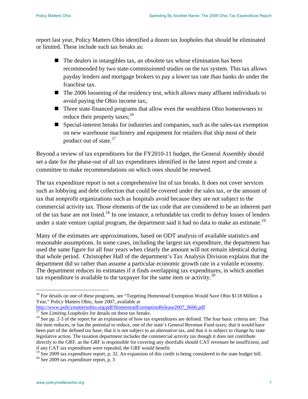report last year, Policy Matters Ohio identified a dozen tax loopholes that should be eliminated or limited. These include such tax breaks as:

- $\blacksquare$  The dealers in intangibles tax, an obsolete tax whose elimination has been recommended by two state-commissioned studies on the tax system. This tax allows payday lenders and mortgage brokers to pay a lower tax rate than banks do under the franchise tax.
- The 2006 loosening of the residency test, which allows many affluent individuals to avoid paying the Ohio income tax;
- Three state-financed programs that allow even the wealthiest Ohio homeowners to reduce their property taxes; $^{16}$  $^{16}$  $^{16}$
- Special-interest breaks for industries and companies, such as the sales-tax exemption on new warehouse machinery and equipment for retailers that ship most of their product out of state.<sup>[17](#page-8-1)</sup>

Beyond a review of tax expenditures for the FY2010-11 budget, the General Assembly should set a date for the phase-out of all tax expenditures identified in the latest report and create a committee to make recommendations on which ones should be renewed.

The tax expenditure report is not a comprehensive list of tax breaks. It does not cover services such as lobbying and debt collection that could be covered under the sales tax, or the amount of tax that nonprofit organizations such as hospitals avoid because they are not subject to the commercial activity tax. Those elements of the tax code that are considered to be an inherent part of the tax base are not listed.[18](#page-8-2) In one instance, a refundable tax credit to defray losses of lenders under a state venture capital program, the department said it had no data to make an estimate.<sup>[19](#page-8-3)</sup>

Many of the estimates are approximations, based on ODT analysis of available statistics and reasonable assumptions. In some cases, including the largest tax expenditure, the department has used the same figure for all four years when clearly the amount will not remain identical during that whole period. Christopher Hall of the department's Tax Analysis Division explains that the department did so rather than assume a particular economic growth rate in a volatile economy. The department reduces its estimates if it finds overlapping tax expenditures, in which another tax expenditure is available to the taxpayer for the same item or activity.[20](#page-8-4)

<span id="page-8-0"></span> <sup>16</sup> For details on one of these programs, see "Targeting Homestead Exemption Would Save Ohio \$118 Million a Year," Policy Matters Ohio, June 2007, available at

[http://www.policymattersohio.org/pdf/HomesteadExemptionRelease2007\\_0606.pdf](http://www.policymattersohio.org/pdf/HomesteadExemptionRelease2007_0606.pdf)<br><sup>17</sup> See *Limiting Loopholes* for details on these tax breaks.

<span id="page-8-2"></span><span id="page-8-1"></span><sup>&</sup>lt;sup>18</sup> See pp. 2-3 of the report for an explanation of how tax expenditures are defined. The four basic criteria are: That the item reduces, or has the potential to reduce, one of the state's General Revenue Fund taxes; that it would have been part of the defined tax base; that it is not subject to an alternative tax, and that it is subject to change by state legislative action. The taxation department includes the commercial activity tax though it does not contribute directly to the GRF, as the GRF is responsible for covering any shortfalls should CAT revenues be insufficient, and if any CAT tax expenditure were repealed, the GRF would benefit.

<span id="page-8-4"></span><span id="page-8-3"></span><sup>&</sup>lt;sup>19</sup> See 2009 tax expenditure report, p. 32. An expansion of this credit is being considered in the state budget bill. <sup>20</sup> See 2009 tax expenditure report, p. 3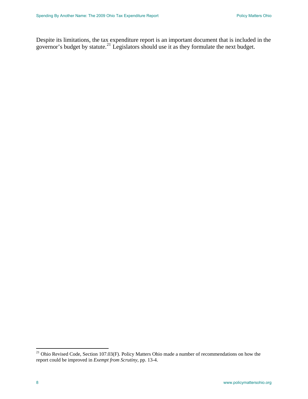Despite its limitations, the tax expenditure report is an important document that is included in the governor's budget by statute.<sup>[21](#page-9-0)</sup> Legislators should use it as they formulate the next budget.

<span id="page-9-0"></span> $21$  Ohio Revised Code, Section 107.03(F). Policy Matters Ohio made a number of recommendations on how the report could be improved in *Exempt from Scrutiny*, pp. 13-4.